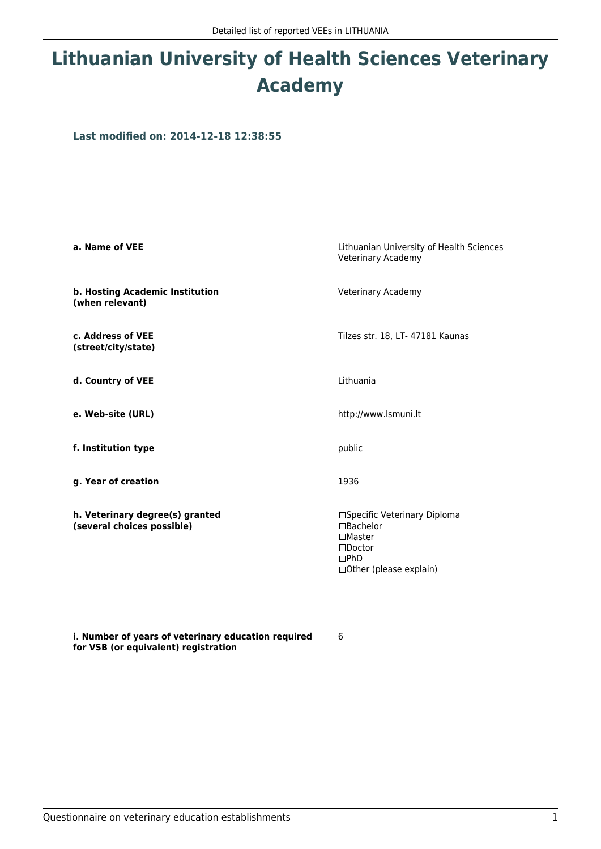## **Lithuanian University of Health Sciences Veterinary Academy**

**Last modified on: 2014-12-18 12:38:55**

| a. Name of VEE                                                | Lithuanian University of Health Sciences<br>Veterinary Academy                                                                    |
|---------------------------------------------------------------|-----------------------------------------------------------------------------------------------------------------------------------|
| b. Hosting Academic Institution<br>(when relevant)            | Veterinary Academy                                                                                                                |
| c. Address of VEE<br>(street/city/state)                      | Tilzes str. 18, LT- 47181 Kaunas                                                                                                  |
| d. Country of VEE                                             | Lithuania                                                                                                                         |
| e. Web-site (URL)                                             | http://www.lsmuni.lt                                                                                                              |
| f. Institution type                                           | public                                                                                                                            |
| g. Year of creation                                           | 1936                                                                                                                              |
| h. Veterinary degree(s) granted<br>(several choices possible) | □Specific Veterinary Diploma<br>$\Box$ Bachelor<br>$\square$ Master<br>$\square$ Doctor<br>$\Box$ PhD<br>□ Other (please explain) |

6

**i. Number of years of veterinary education required for VSB (or equivalent) registration**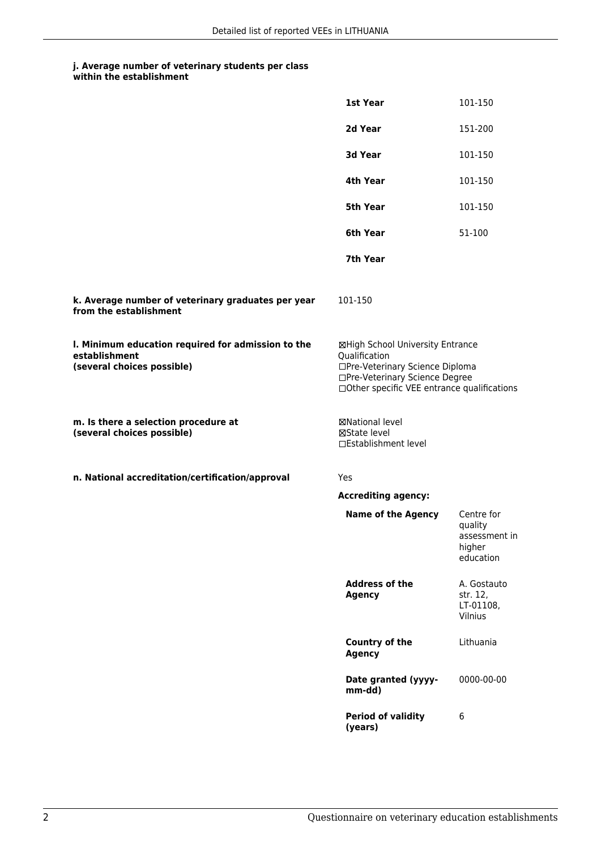## **j. Average number of veterinary students per class**

| within the establishment |  |
|--------------------------|--|
|--------------------------|--|

|                                                                                                   | <b>1st Year</b>                                                                                                                                                       | 101-150                                                       |
|---------------------------------------------------------------------------------------------------|-----------------------------------------------------------------------------------------------------------------------------------------------------------------------|---------------------------------------------------------------|
|                                                                                                   | 2d Year                                                                                                                                                               | 151-200                                                       |
|                                                                                                   | 3d Year                                                                                                                                                               | 101-150                                                       |
|                                                                                                   | 4th Year                                                                                                                                                              | 101-150                                                       |
|                                                                                                   | 5th Year                                                                                                                                                              | 101-150                                                       |
|                                                                                                   | 6th Year                                                                                                                                                              | 51-100                                                        |
|                                                                                                   | 7th Year                                                                                                                                                              |                                                               |
| k. Average number of veterinary graduates per year<br>from the establishment                      | 101-150                                                                                                                                                               |                                                               |
| I. Minimum education required for admission to the<br>establishment<br>(several choices possible) | ⊠High School University Entrance<br>Qualification<br>□Pre-Veterinary Science Diploma<br>□Pre-Veterinary Science Degree<br>□Other specific VEE entrance qualifications |                                                               |
| m. Is there a selection procedure at<br>(several choices possible)                                | ⊠National level<br>⊠State level<br>□Establishment level                                                                                                               |                                                               |
| n. National accreditation/certification/approval                                                  | Yes                                                                                                                                                                   |                                                               |
|                                                                                                   | <b>Accrediting agency:</b>                                                                                                                                            |                                                               |
|                                                                                                   | <b>Name of the Agency</b>                                                                                                                                             | Centre for<br>quality<br>assessment in<br>higher<br>education |
|                                                                                                   |                                                                                                                                                                       |                                                               |
|                                                                                                   | <b>Address of the</b><br><b>Agency</b>                                                                                                                                | A. Gostauto<br>str. 12,<br>LT-01108,<br>Vilnius               |
|                                                                                                   | <b>Country of the</b><br><b>Agency</b>                                                                                                                                | Lithuania                                                     |
|                                                                                                   | Date granted (yyyy-<br>mm-dd)                                                                                                                                         | 0000-00-00                                                    |